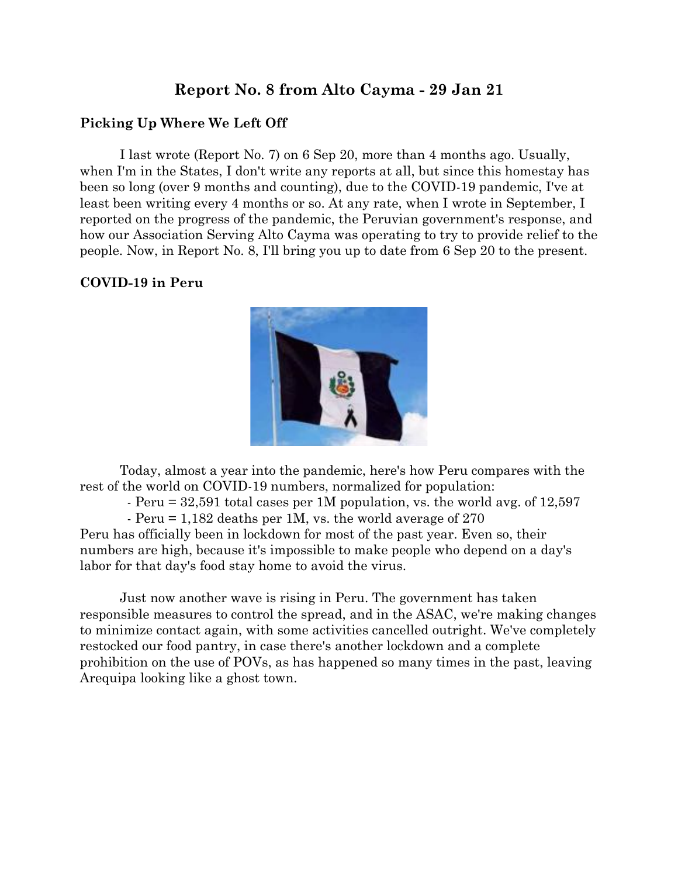# **Report No. 8 from Alto Cayma - 29 Jan 21**

### **Picking Up Where We Left Off**

I last wrote (Report No. 7) on 6 Sep 20, more than 4 months ago. Usually, when I'm in the States, I don't write any reports at all, but since this homestay has been so long (over 9 months and counting), due to the COVID-19 pandemic, I've at least been writing every 4 months or so. At any rate, when I wrote in September, I reported on the progress of the pandemic, the Peruvian government's response, and how our Association Serving Alto Cayma was operating to try to provide relief to the people. Now, in Report No. 8, I'll bring you up to date from 6 Sep 20 to the present.

#### **COVID-19 in Peru**



Today, almost a year into the pandemic, here's how Peru compares with the rest of the world on COVID-19 numbers, normalized for population:

- Peru = 32,591 total cases per 1M population, vs. the world avg. of 12,597

- Peru = 1,182 deaths per 1M, vs. the world average of 270

Peru has officially been in lockdown for most of the past year. Even so, their numbers are high, because it's impossible to make people who depend on a day's labor for that day's food stay home to avoid the virus.

Just now another wave is rising in Peru. The government has taken responsible measures to control the spread, and in the ASAC, we're making changes to minimize contact again, with some activities cancelled outright. We've completely restocked our food pantry, in case there's another lockdown and a complete prohibition on the use of POVs, as has happened so many times in the past, leaving Arequipa looking like a ghost town.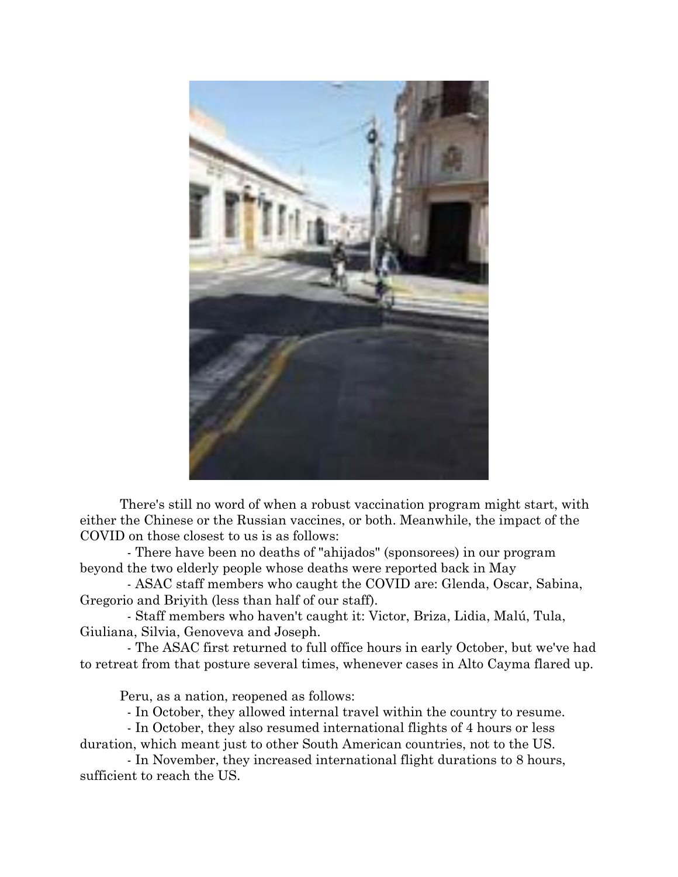

There's still no word of when a robust vaccination program might start, with either the Chinese or the Russian vaccines, or both. Meanwhile, the impact of the COVID on those closest to us is as follows:

 - There have been no deaths of "ahijados" (sponsorees) in our program beyond the two elderly people whose deaths were reported back in May

 - ASAC staff members who caught the COVID are: Glenda, Oscar, Sabina, Gregorio and Briyith (less than half of our staff).

 - Staff members who haven't caught it: Victor, Briza, Lidia, Malú, Tula, Giuliana, Silvia, Genoveva and Joseph.

 - The ASAC first returned to full office hours in early October, but we've had to retreat from that posture several times, whenever cases in Alto Cayma flared up.

Peru, as a nation, reopened as follows:

- In October, they allowed internal travel within the country to resume.

 - In October, they also resumed international flights of 4 hours or less duration, which meant just to other South American countries, not to the US.

 - In November, they increased international flight durations to 8 hours, sufficient to reach the US.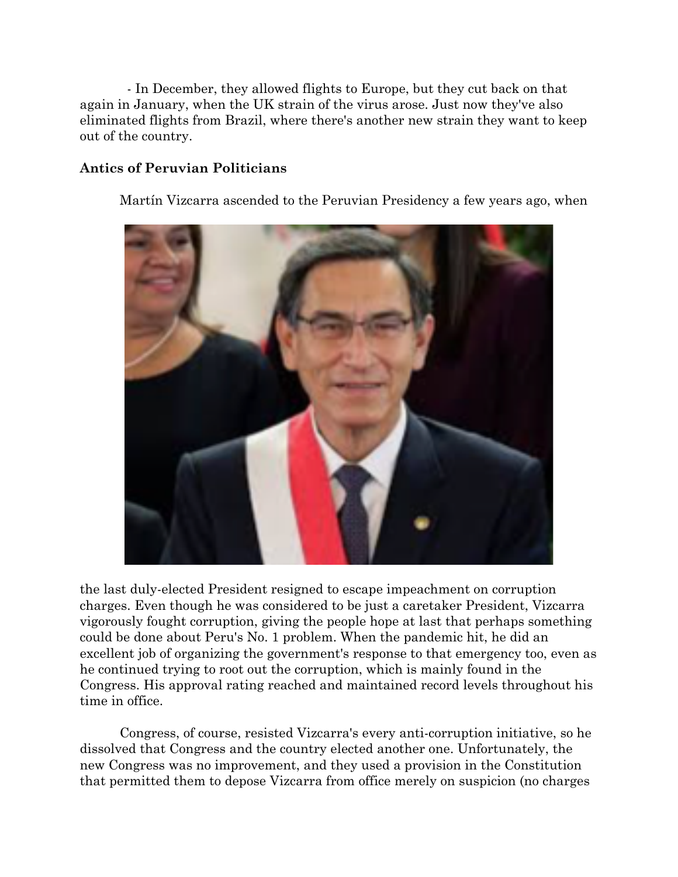- In December, they allowed flights to Europe, but they cut back on that again in January, when the UK strain of the virus arose. Just now they've also eliminated flights from Brazil, where there's another new strain they want to keep out of the country.

#### **Antics of Peruvian Politicians**

Martín Vizcarra ascended to the Peruvian Presidency a few years ago, when



the last duly-elected President resigned to escape impeachment on corruption charges. Even though he was considered to be just a caretaker President, Vizcarra vigorously fought corruption, giving the people hope at last that perhaps something could be done about Peru's No. 1 problem. When the pandemic hit, he did an excellent job of organizing the government's response to that emergency too, even as he continued trying to root out the corruption, which is mainly found in the Congress. His approval rating reached and maintained record levels throughout his time in office.

Congress, of course, resisted Vizcarra's every anti-corruption initiative, so he dissolved that Congress and the country elected another one. Unfortunately, the new Congress was no improvement, and they used a provision in the Constitution that permitted them to depose Vizcarra from office merely on suspicion (no charges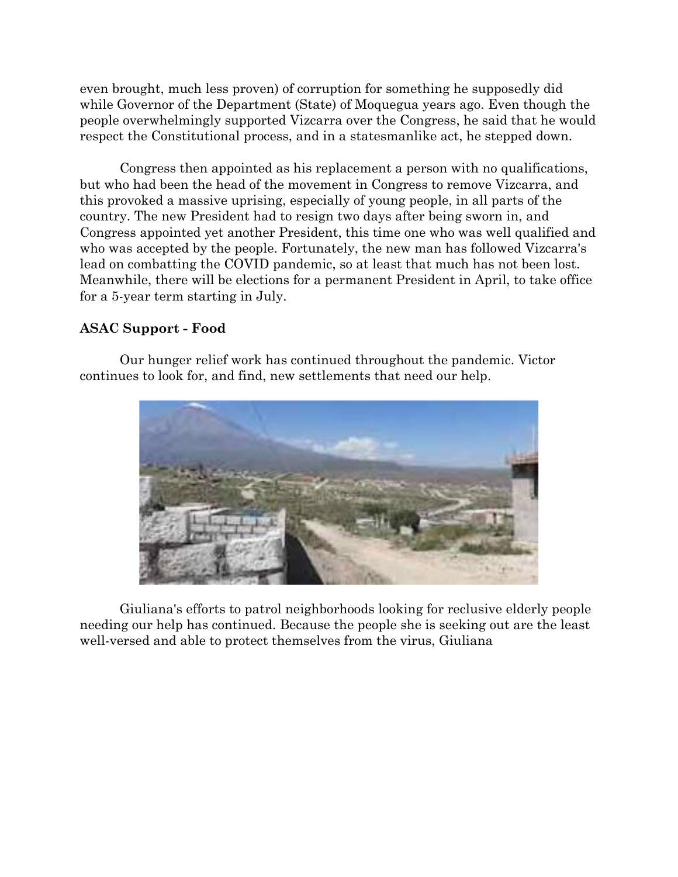even brought, much less proven) of corruption for something he supposedly did while Governor of the Department (State) of Moquegua years ago. Even though the people overwhelmingly supported Vizcarra over the Congress, he said that he would respect the Constitutional process, and in a statesmanlike act, he stepped down.

Congress then appointed as his replacement a person with no qualifications, but who had been the head of the movement in Congress to remove Vizcarra, and this provoked a massive uprising, especially of young people, in all parts of the country. The new President had to resign two days after being sworn in, and Congress appointed yet another President, this time one who was well qualified and who was accepted by the people. Fortunately, the new man has followed Vizcarra's lead on combatting the COVID pandemic, so at least that much has not been lost. Meanwhile, there will be elections for a permanent President in April, to take office for a 5-year term starting in July.

### **ASAC Support - Food**

Our hunger relief work has continued throughout the pandemic. Victor continues to look for, and find, new settlements that need our help.



Giuliana's efforts to patrol neighborhoods looking for reclusive elderly people needing our help has continued. Because the people she is seeking out are the least well-versed and able to protect themselves from the virus, Giuliana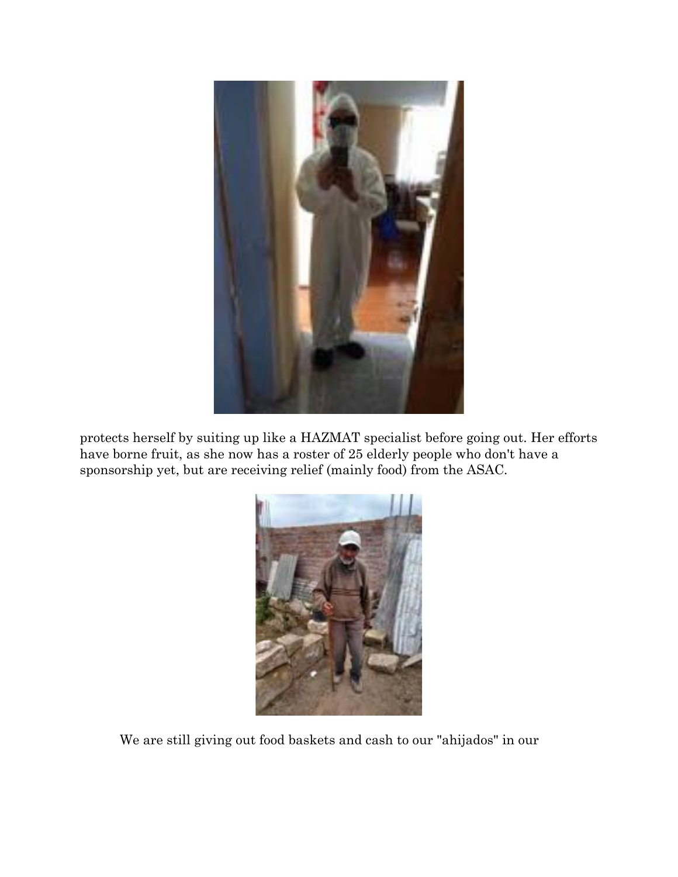

protects herself by suiting up like a HAZMAT specialist before going out. Her efforts have borne fruit, as she now has a roster of 25 elderly people who don't have a sponsorship yet, but are receiving relief (mainly food) from the ASAC.



We are still giving out food baskets and cash to our "ahijados" in our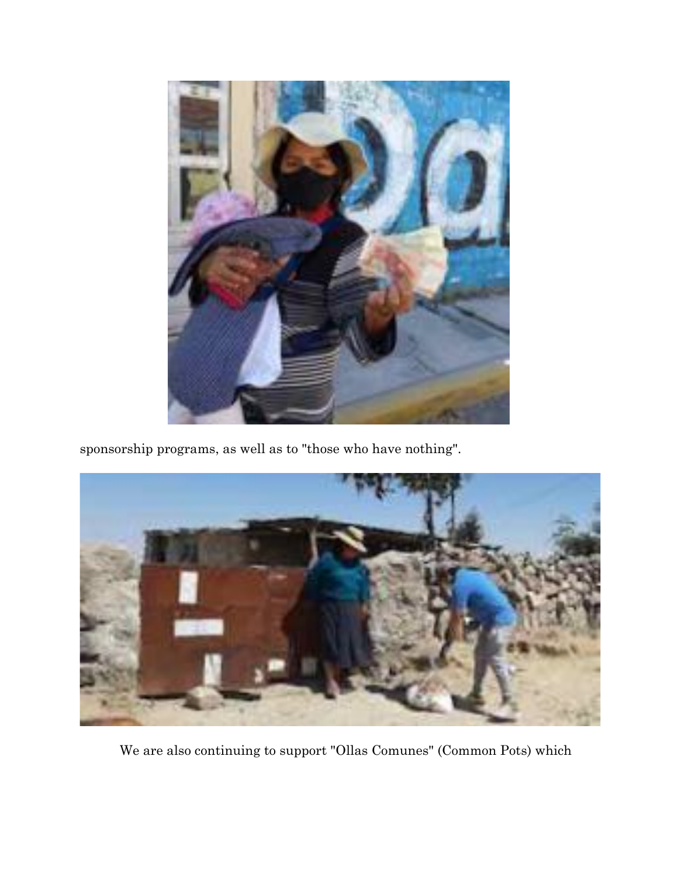

sponsorship programs, as well as to "those who have nothing".



We are also continuing to support "Ollas Comunes" (Common Pots) which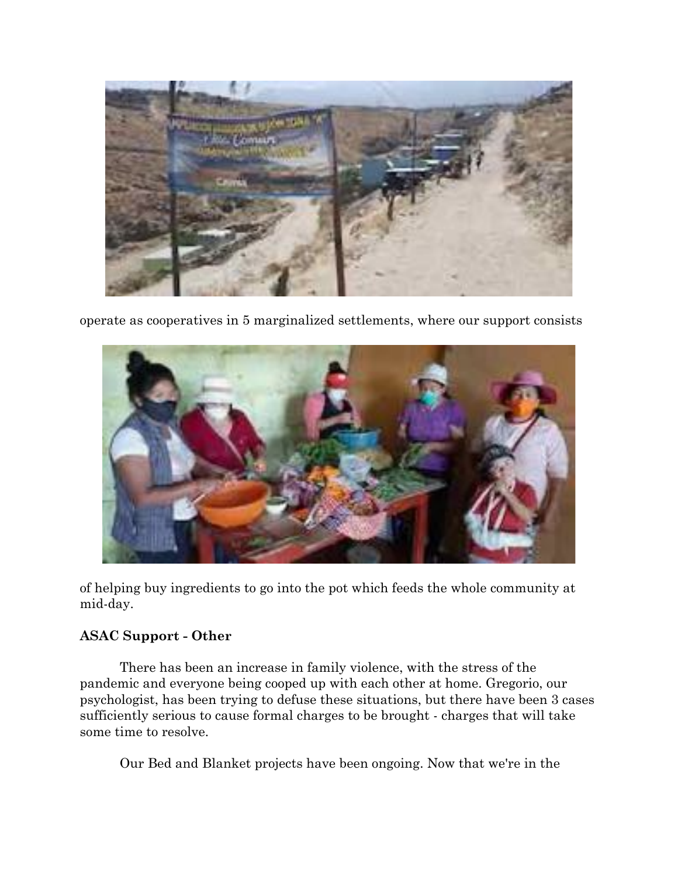

operate as cooperatives in 5 marginalized settlements, where our support consists



of helping buy ingredients to go into the pot which feeds the whole community at mid-day.

# **ASAC Support - Other**

There has been an increase in family violence, with the stress of the pandemic and everyone being cooped up with each other at home. Gregorio, our psychologist, has been trying to defuse these situations, but there have been 3 cases sufficiently serious to cause formal charges to be brought - charges that will take some time to resolve.

Our Bed and Blanket projects have been ongoing. Now that we're in the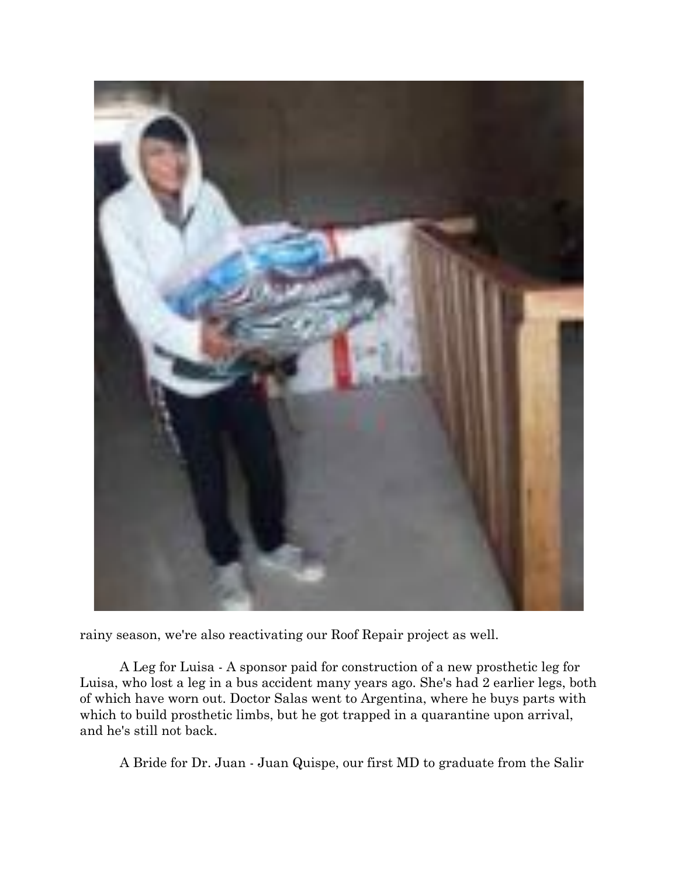

rainy season, we're also reactivating our Roof Repair project as well.

A Leg for Luisa - A sponsor paid for construction of a new prosthetic leg for Luisa, who lost a leg in a bus accident many years ago. She's had 2 earlier legs, both of which have worn out. Doctor Salas went to Argentina, where he buys parts with which to build prosthetic limbs, but he got trapped in a quarantine upon arrival, and he's still not back.

A Bride for Dr. Juan - Juan Quispe, our first MD to graduate from the Salir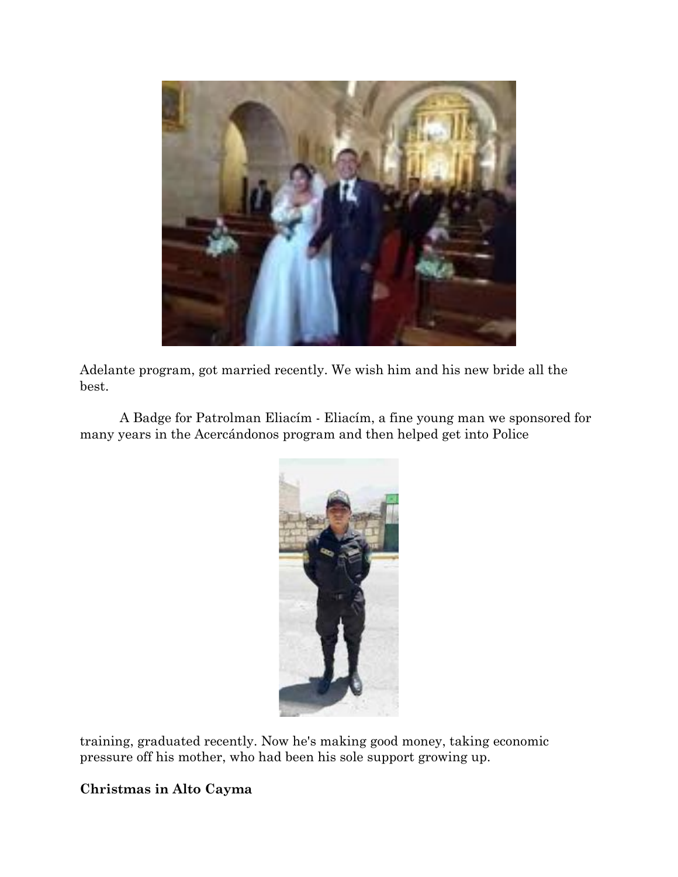

Adelante program, got married recently. We wish him and his new bride all the best.

A Badge for Patrolman Eliacím - Eliacím, a fine young man we sponsored for many years in the Acercándonos program and then helped get into Police



training, graduated recently. Now he's making good money, taking economic pressure off his mother, who had been his sole support growing up.

# **Christmas in Alto Cayma**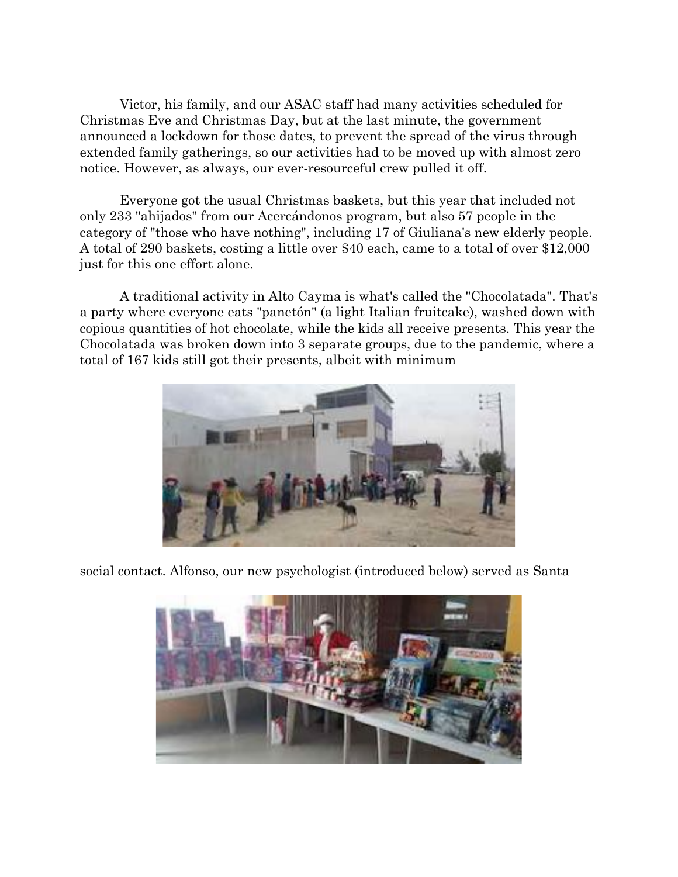Victor, his family, and our ASAC staff had many activities scheduled for Christmas Eve and Christmas Day, but at the last minute, the government announced a lockdown for those dates, to prevent the spread of the virus through extended family gatherings, so our activities had to be moved up with almost zero notice. However, as always, our ever-resourceful crew pulled it off.

Everyone got the usual Christmas baskets, but this year that included not only 233 "ahijados" from our Acercándonos program, but also 57 people in the category of "those who have nothing", including 17 of Giuliana's new elderly people. A total of 290 baskets, costing a little over \$40 each, came to a total of over \$12,000 just for this one effort alone.

A traditional activity in Alto Cayma is what's called the "Chocolatada". That's a party where everyone eats "panetón" (a light Italian fruitcake), washed down with copious quantities of hot chocolate, while the kids all receive presents. This year the Chocolatada was broken down into 3 separate groups, due to the pandemic, where a total of 167 kids still got their presents, albeit with minimum



social contact. Alfonso, our new psychologist (introduced below) served as Santa

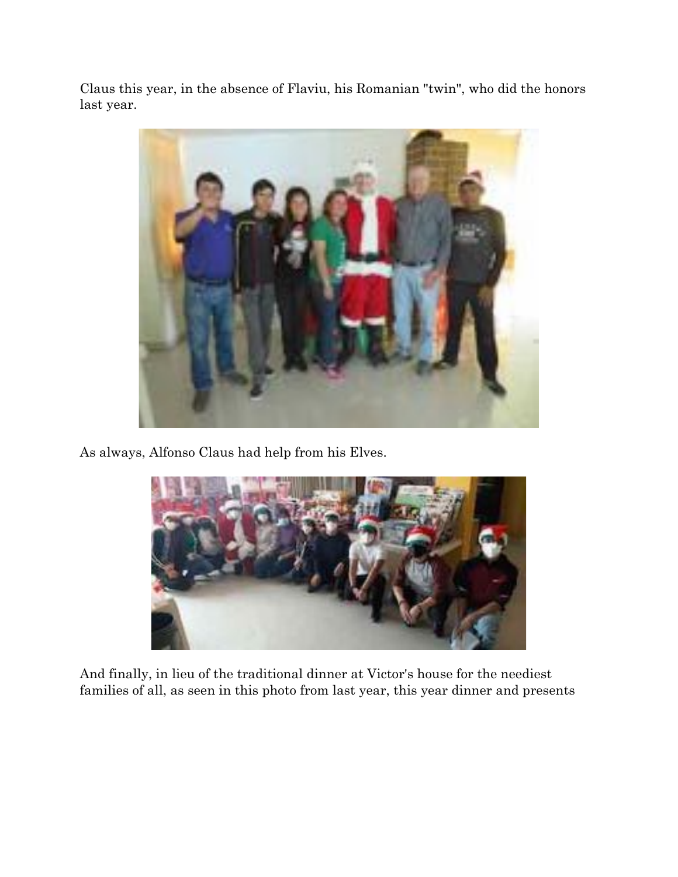Claus this year, in the absence of Flaviu, his Romanian "twin", who did the honors last year.



As always, Alfonso Claus had help from his Elves.



And finally, in lieu of the traditional dinner at Victor's house for the neediest families of all, as seen in this photo from last year, this year dinner and presents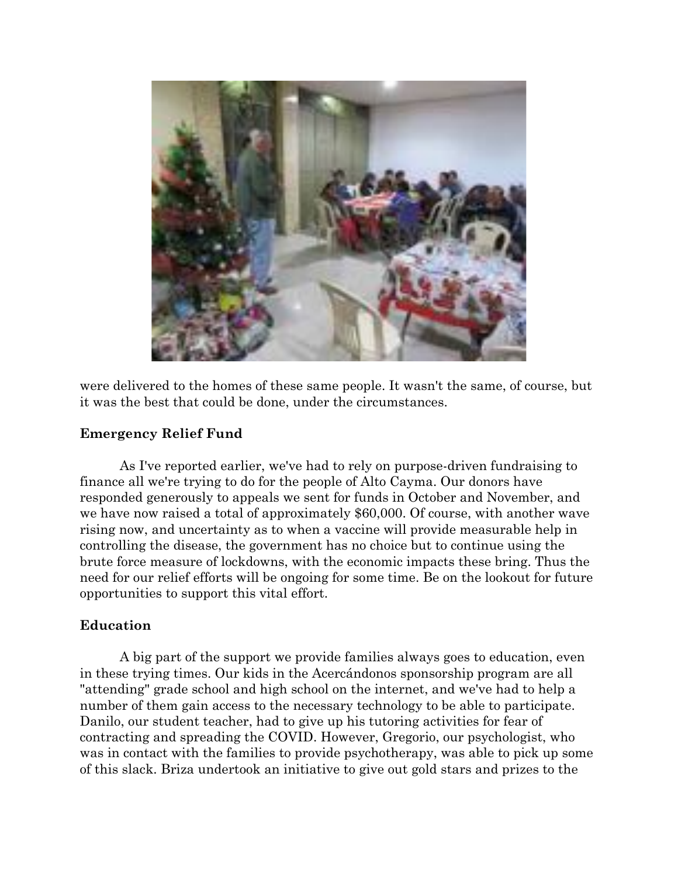

were delivered to the homes of these same people. It wasn't the same, of course, but it was the best that could be done, under the circumstances.

### **Emergency Relief Fund**

As I've reported earlier, we've had to rely on purpose-driven fundraising to finance all we're trying to do for the people of Alto Cayma. Our donors have responded generously to appeals we sent for funds in October and November, and we have now raised a total of approximately \$60,000. Of course, with another wave rising now, and uncertainty as to when a vaccine will provide measurable help in controlling the disease, the government has no choice but to continue using the brute force measure of lockdowns, with the economic impacts these bring. Thus the need for our relief efforts will be ongoing for some time. Be on the lookout for future opportunities to support this vital effort.

### **Education**

A big part of the support we provide families always goes to education, even in these trying times. Our kids in the Acercándonos sponsorship program are all "attending" grade school and high school on the internet, and we've had to help a number of them gain access to the necessary technology to be able to participate. Danilo, our student teacher, had to give up his tutoring activities for fear of contracting and spreading the COVID. However, Gregorio, our psychologist, who was in contact with the families to provide psychotherapy, was able to pick up some of this slack. Briza undertook an initiative to give out gold stars and prizes to the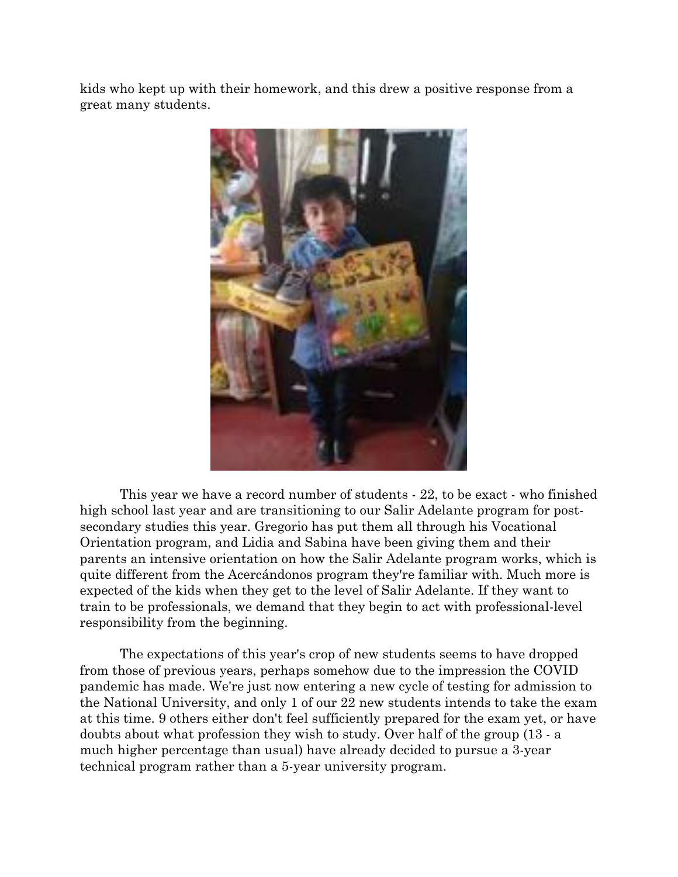kids who kept up with their homework, and this drew a positive response from a great many students.



This year we have a record number of students - 22, to be exact - who finished high school last year and are transitioning to our Salir Adelante program for postsecondary studies this year. Gregorio has put them all through his Vocational Orientation program, and Lidia and Sabina have been giving them and their parents an intensive orientation on how the Salir Adelante program works, which is quite different from the Acercándonos program they're familiar with. Much more is expected of the kids when they get to the level of Salir Adelante. If they want to train to be professionals, we demand that they begin to act with professional-level responsibility from the beginning.

The expectations of this year's crop of new students seems to have dropped from those of previous years, perhaps somehow due to the impression the COVID pandemic has made. We're just now entering a new cycle of testing for admission to the National University, and only 1 of our 22 new students intends to take the exam at this time. 9 others either don't feel sufficiently prepared for the exam yet, or have doubts about what profession they wish to study. Over half of the group (13 - a much higher percentage than usual) have already decided to pursue a 3-year technical program rather than a 5-year university program.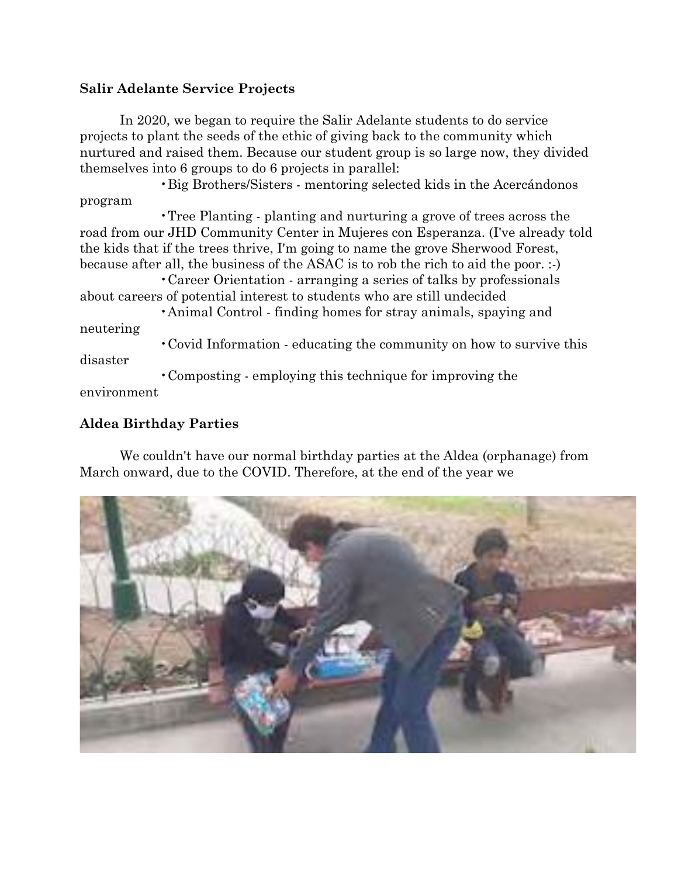### **Salir Adelante Service Projects**

In 2020, we began to require the Salir Adelante students to do service projects to plant the seeds of the ethic of giving back to the community which nurtured and raised them. Because our student group is so large now, they divided themselves into 6 groups to do 6 projects in parallel:

•Big Brothers/Sisters - mentoring selected kids in the Acercándonos program

•Tree Planting - planting and nurturing a grove of trees across the road from our JHD Community Center in Mujeres con Esperanza. (I've already told the kids that if the trees thrive, I'm going to name the grove Sherwood Forest, because after all, the business of the ASAC is to rob the rich to aid the poor. :-)

•Career Orientation - arranging a series of talks by professionals about careers of potential interest to students who are still undecided

•Animal Control - finding homes for stray animals, spaying and neutering

•Covid Information - educating the community on how to survive this disaster

•Composting - employing this technique for improving the environment

# **Aldea Birthday Parties**

We couldn't have our normal birthday parties at the Aldea (orphanage) from March onward, due to the COVID. Therefore, at the end of the year we

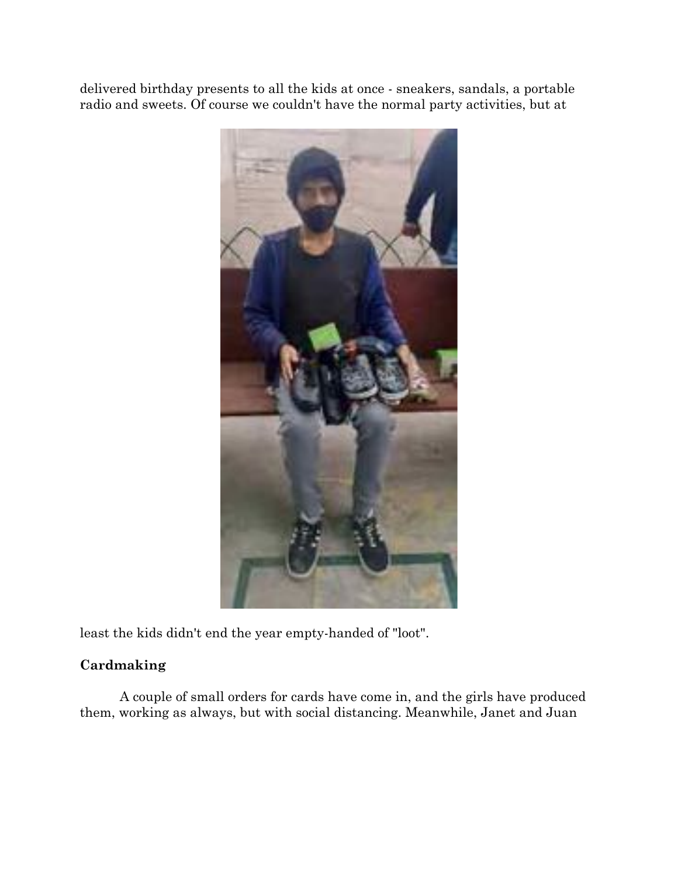delivered birthday presents to all the kids at once - sneakers, sandals, a portable radio and sweets. Of course we couldn't have the normal party activities, but at



least the kids didn't end the year empty-handed of "loot".

# **Cardmaking**

A couple of small orders for cards have come in, and the girls have produced them, working as always, but with social distancing. Meanwhile, Janet and Juan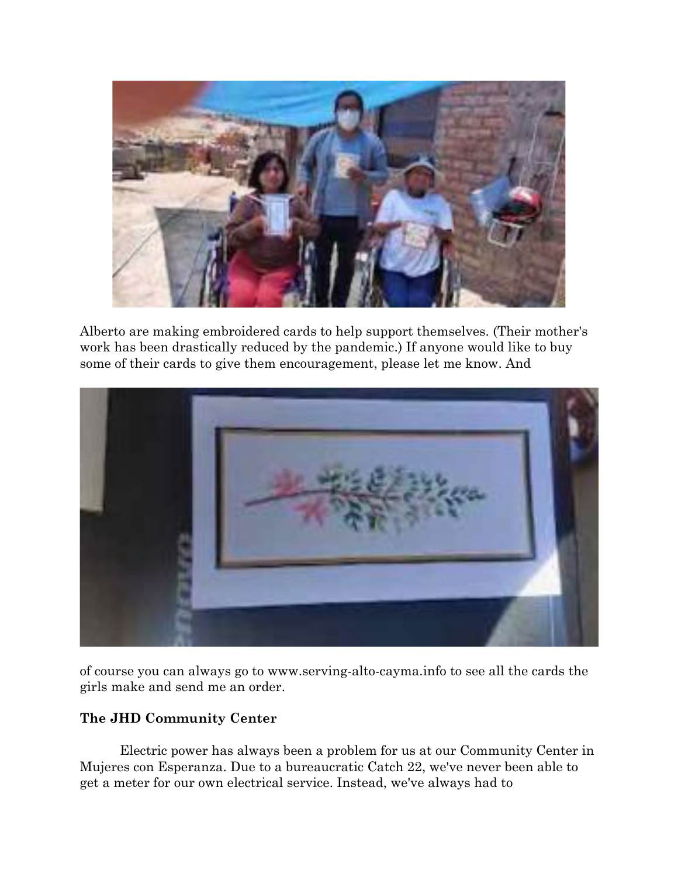

Alberto are making embroidered cards to help support themselves. (Their mother's work has been drastically reduced by the pandemic.) If anyone would like to buy some of their cards to give them encouragement, please let me know. And



of course you can always go to www.serving-alto-cayma.info to see all the cards the girls make and send me an order.

# **The JHD Community Center**

Electric power has always been a problem for us at our Community Center in Mujeres con Esperanza. Due to a bureaucratic Catch 22, we've never been able to get a meter for our own electrical service. Instead, we've always had to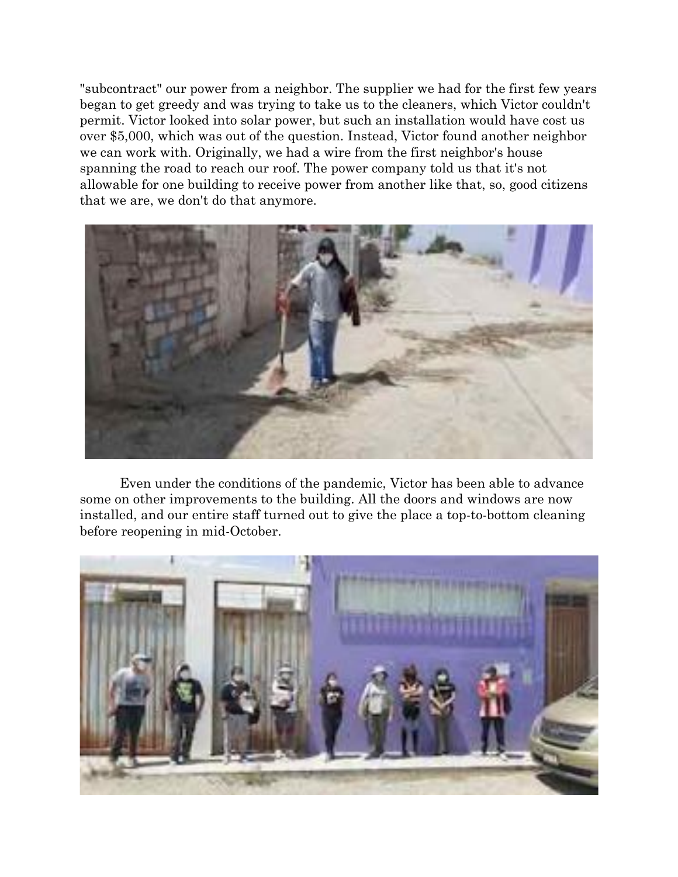"subcontract" our power from a neighbor. The supplier we had for the first few years began to get greedy and was trying to take us to the cleaners, which Victor couldn't permit. Victor looked into solar power, but such an installation would have cost us over \$5,000, which was out of the question. Instead, Victor found another neighbor we can work with. Originally, we had a wire from the first neighbor's house spanning the road to reach our roof. The power company told us that it's not allowable for one building to receive power from another like that, so, good citizens that we are, we don't do that anymore.



Even under the conditions of the pandemic, Victor has been able to advance some on other improvements to the building. All the doors and windows are now installed, and our entire staff turned out to give the place a top-to-bottom cleaning before reopening in mid-October.

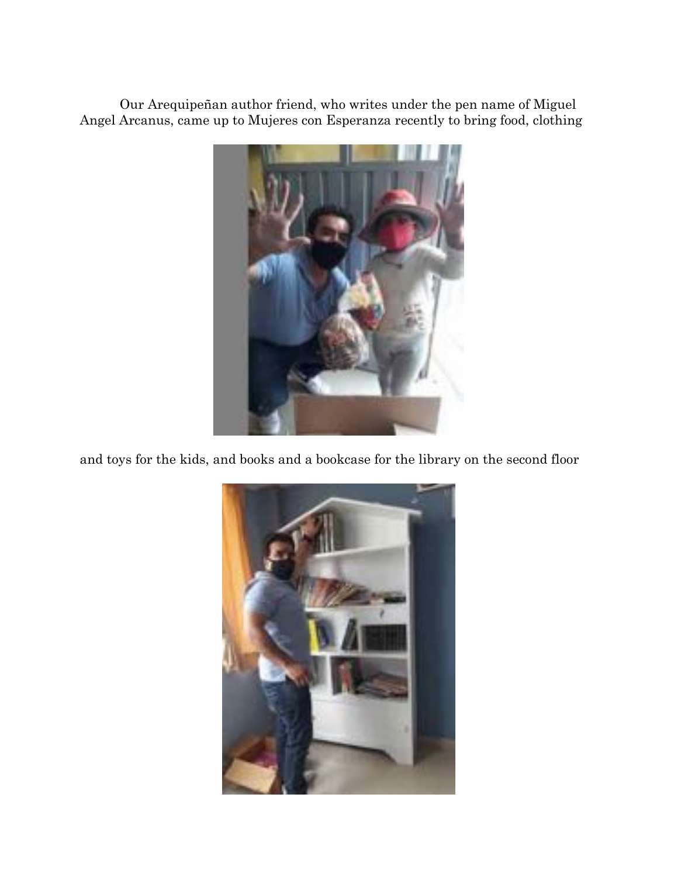Our Arequipeñan author friend, who writes under the pen name of Miguel Angel Arcanus, came up to Mujeres con Esperanza recently to bring food, clothing



and toys for the kids, and books and a bookcase for the library on the second floor

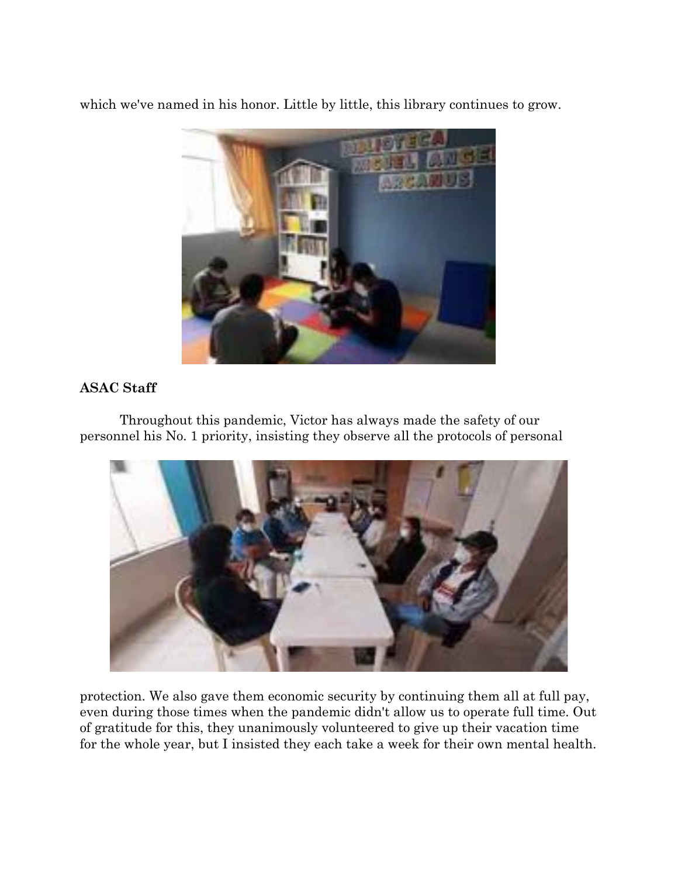which we've named in his honor. Little by little, this library continues to grow.



# **ASAC Staff**

Throughout this pandemic, Victor has always made the safety of our personnel his No. 1 priority, insisting they observe all the protocols of personal



protection. We also gave them economic security by continuing them all at full pay, even during those times when the pandemic didn't allow us to operate full time. Out of gratitude for this, they unanimously volunteered to give up their vacation time for the whole year, but I insisted they each take a week for their own mental health.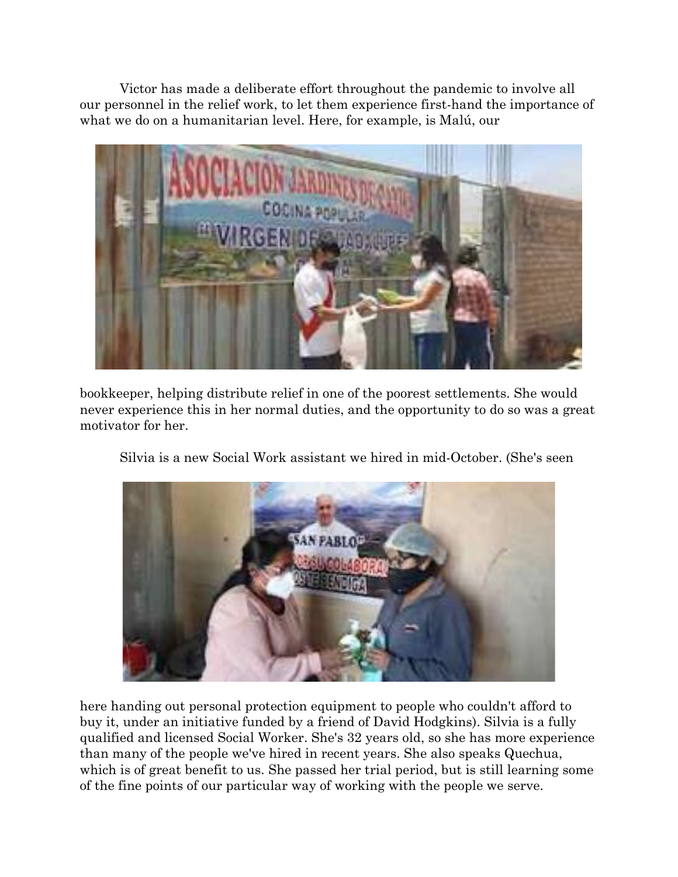Victor has made a deliberate effort throughout the pandemic to involve all our personnel in the relief work, to let them experience first-hand the importance of what we do on a humanitarian level. Here, for example, is Malú, our



bookkeeper, helping distribute relief in one of the poorest settlements. She would never experience this in her normal duties, and the opportunity to do so was a great motivator for her.

Silvia is a new Social Work assistant we hired in mid-October. (She's seen



here handing out personal protection equipment to people who couldn't afford to buy it, under an initiative funded by a friend of David Hodgkins). Silvia is a fully qualified and licensed Social Worker. She's 32 years old, so she has more experience than many of the people we've hired in recent years. She also speaks Quechua, which is of great benefit to us. She passed her trial period, but is still learning some of the fine points of our particular way of working with the people we serve.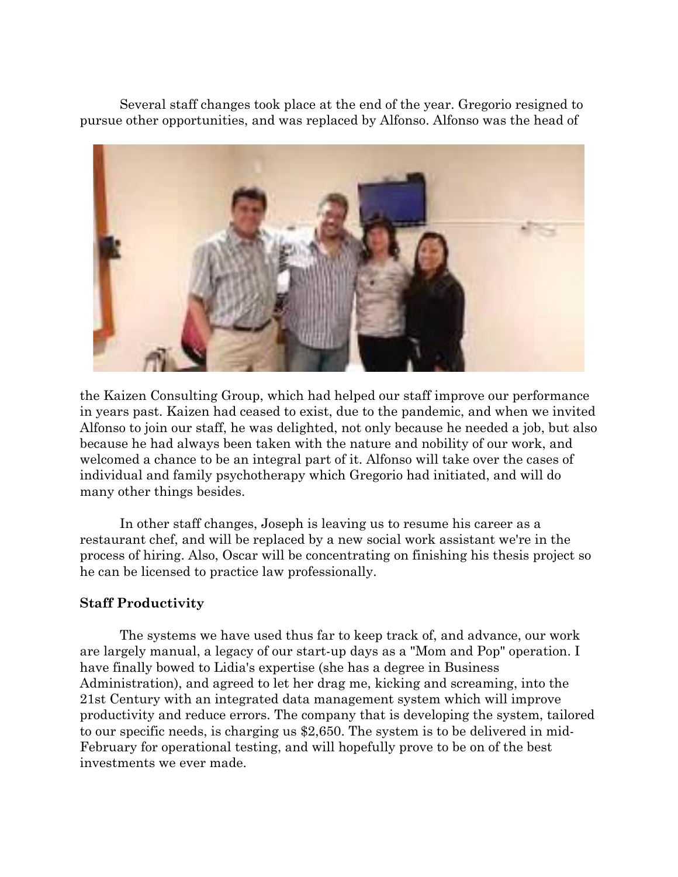Several staff changes took place at the end of the year. Gregorio resigned to pursue other opportunities, and was replaced by Alfonso. Alfonso was the head of



the Kaizen Consulting Group, which had helped our staff improve our performance in years past. Kaizen had ceased to exist, due to the pandemic, and when we invited Alfonso to join our staff, he was delighted, not only because he needed a job, but also because he had always been taken with the nature and nobility of our work, and welcomed a chance to be an integral part of it. Alfonso will take over the cases of individual and family psychotherapy which Gregorio had initiated, and will do many other things besides.

In other staff changes, Joseph is leaving us to resume his career as a restaurant chef, and will be replaced by a new social work assistant we're in the process of hiring. Also, Oscar will be concentrating on finishing his thesis project so he can be licensed to practice law professionally.

### **Staff Productivity**

The systems we have used thus far to keep track of, and advance, our work are largely manual, a legacy of our start-up days as a "Mom and Pop" operation. I have finally bowed to Lidia's expertise (she has a degree in Business Administration), and agreed to let her drag me, kicking and screaming, into the 21st Century with an integrated data management system which will improve productivity and reduce errors. The company that is developing the system, tailored to our specific needs, is charging us \$2,650. The system is to be delivered in mid-February for operational testing, and will hopefully prove to be on of the best investments we ever made.